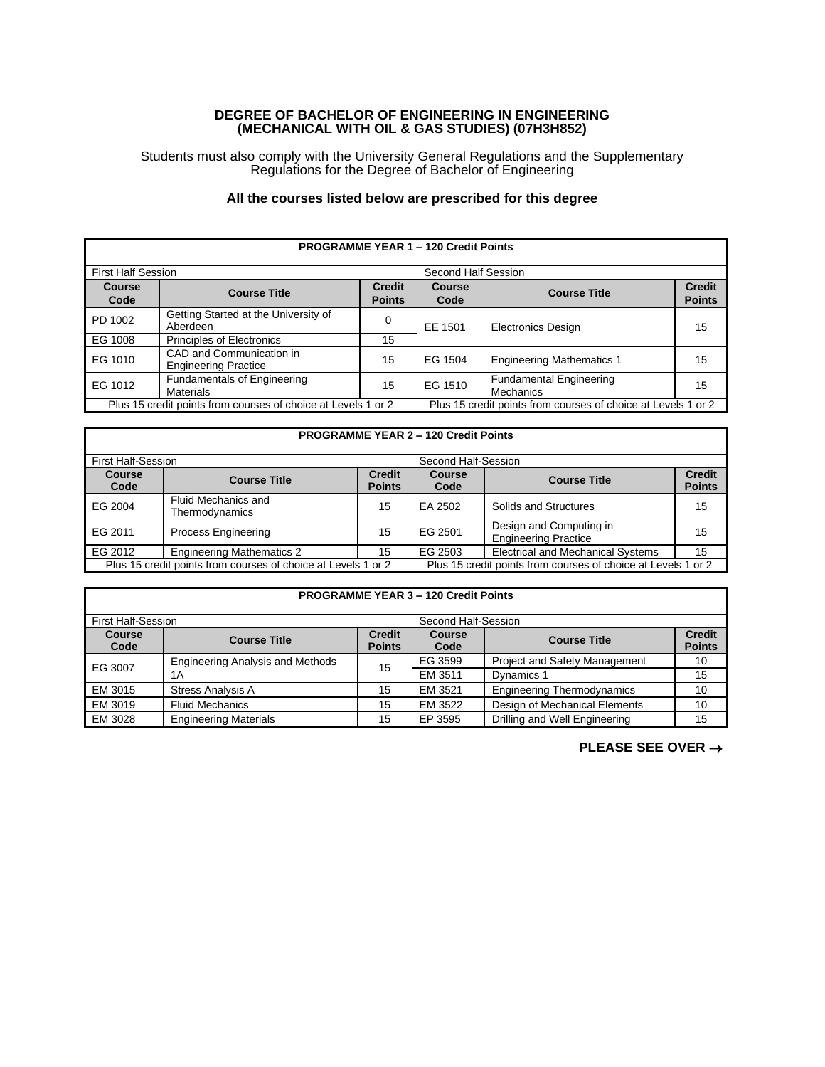## **DEGREE OF BACHELOR OF ENGINEERING IN ENGINEERING (MECHANICAL WITH OIL & GAS STUDIES) (07H3H852)**

Students must also comply with the University General Regulations and the Supplementary Regulations for the Degree of Bachelor of Engineering

## **All the courses listed below are prescribed for this degree**

| <b>PROGRAMME YEAR 1 - 120 Credit Points</b>                   |                                                         |                                |                                                               |                                             |                                |
|---------------------------------------------------------------|---------------------------------------------------------|--------------------------------|---------------------------------------------------------------|---------------------------------------------|--------------------------------|
| <b>First Half Session</b>                                     |                                                         |                                | Second Half Session                                           |                                             |                                |
| <b>Course</b><br>Code                                         | <b>Course Title</b>                                     | <b>Credit</b><br><b>Points</b> | Course<br>Code                                                | <b>Course Title</b>                         | <b>Credit</b><br><b>Points</b> |
| PD 1002                                                       | Getting Started at the University of<br>Aberdeen        | 0                              | EE 1501                                                       | <b>Electronics Design</b>                   | 15                             |
| EG 1008                                                       | <b>Principles of Electronics</b>                        | 15                             |                                                               |                                             |                                |
| EG 1010                                                       | CAD and Communication in<br><b>Engineering Practice</b> | 15                             | EG 1504                                                       | <b>Engineering Mathematics 1</b>            | 15                             |
| EG 1012                                                       | <b>Fundamentals of Engineering</b><br>Materials         | 15                             | EG 1510                                                       | <b>Fundamental Engineering</b><br>Mechanics | 15                             |
| Plus 15 credit points from courses of choice at Levels 1 or 2 |                                                         |                                | Plus 15 credit points from courses of choice at Levels 1 or 2 |                                             |                                |

## **PROGRAMME YEAR 2 – 120 Credit Points**

| <b>First Half-Session</b>                                     |                                              |                                                               | Second Half-Session |                                                        |                                |
|---------------------------------------------------------------|----------------------------------------------|---------------------------------------------------------------|---------------------|--------------------------------------------------------|--------------------------------|
| Course<br>Code                                                | <b>Course Title</b>                          | <b>Credit</b><br><b>Points</b>                                | Course<br>Code      | <b>Course Title</b>                                    | <b>Credit</b><br><b>Points</b> |
| EG 2004                                                       | <b>Fluid Mechanics and</b><br>Thermodynamics | 15                                                            | EA 2502             | Solids and Structures                                  | 15                             |
| EG 2011                                                       | <b>Process Engineering</b>                   | 15                                                            | EG 2501             | Design and Computing in<br><b>Engineering Practice</b> | 15                             |
| EG 2012                                                       | <b>Engineering Mathematics 2</b>             | 15                                                            | EG 2503             | <b>Electrical and Mechanical Systems</b>               | 15                             |
| Plus 15 credit points from courses of choice at Levels 1 or 2 |                                              | Plus 15 credit points from courses of choice at Levels 1 or 2 |                     |                                                        |                                |

| <b>PROGRAMME YEAR 3 - 120 Credit Points</b> |                                  |                                |                       |                                      |                                |  |
|---------------------------------------------|----------------------------------|--------------------------------|-----------------------|--------------------------------------|--------------------------------|--|
| <b>First Half-Session</b>                   |                                  |                                | Second Half-Session   |                                      |                                |  |
| <b>Course</b><br>Code                       | <b>Course Title</b>              | <b>Credit</b><br><b>Points</b> | <b>Course</b><br>Code | <b>Course Title</b>                  | <b>Credit</b><br><b>Points</b> |  |
| EG 3007                                     | Engineering Analysis and Methods | 15                             | EG 3599               | <b>Project and Safety Management</b> | 10                             |  |
|                                             | 1 A                              |                                | EM 3511               | Dynamics 1                           | 15                             |  |
| EM 3015                                     | <b>Stress Analysis A</b>         | 15                             | EM 3521               | <b>Engineering Thermodynamics</b>    | 10                             |  |
| EM 3019                                     | <b>Fluid Mechanics</b>           | 15                             | EM 3522               | Design of Mechanical Elements        | 10                             |  |
| EM 3028                                     | <b>Engineering Materials</b>     | 15                             | EP 3595               | Drilling and Well Engineering        | 15                             |  |

**PLEASE SEE OVER** →